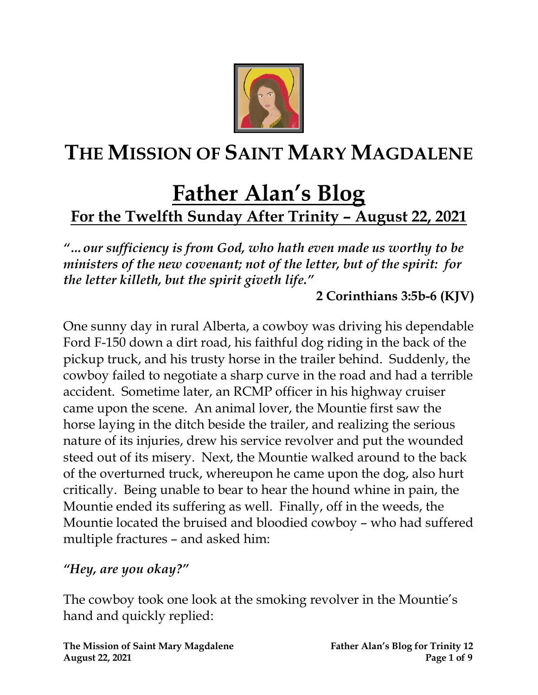

# **THE MISSION OF SAINT MARY MAGDALENE**

# **Father Alan's Blog For the Twelfth Sunday After Trinity – August 22, 2021**

*"…our sufficiency is from God, who hath even made us worthy to be ministers of the new covenant; not of the letter, but of the spirit: for the letter killeth, but the spirit giveth life."* 

**2 Corinthians 3:5b-6 (KJV)**

One sunny day in rural Alberta, a cowboy was driving his dependable Ford F-150 down a dirt road, his faithful dog riding in the back of the pickup truck, and his trusty horse in the trailer behind. Suddenly, the cowboy failed to negotiate a sharp curve in the road and had a terrible accident. Sometime later, an RCMP officer in his highway cruiser came upon the scene. An animal lover, the Mountie first saw the horse laying in the ditch beside the trailer, and realizing the serious nature of its injuries, drew his service revolver and put the wounded steed out of its misery. Next, the Mountie walked around to the back of the overturned truck, whereupon he came upon the dog, also hurt critically. Being unable to bear to hear the hound whine in pain, the Mountie ended its suffering as well. Finally, off in the weeds, the Mountie located the bruised and bloodied cowboy – who had suffered multiple fractures – and asked him:

#### *"Hey, are you okay?"*

The cowboy took one look at the smoking revolver in the Mountie's hand and quickly replied: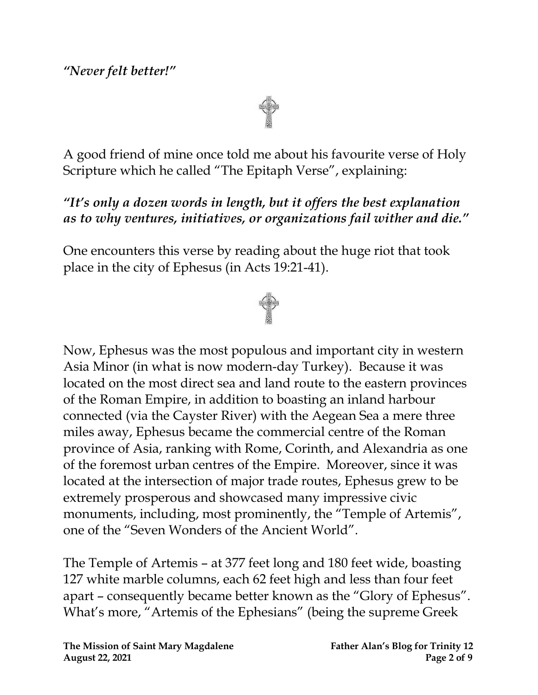#### *"Never felt better!"*

A good friend of mine once told me about his favourite verse of Holy Scripture which he called "The Epitaph Verse", explaining:

#### *"It's only a dozen words in length, but it offers the best explanation as to why ventures, initiatives, or organizations fail wither and die."*

One encounters this verse by reading about the huge riot that took place in the city of Ephesus (in Acts 19:21-41).



Now, Ephesus was the most populous and important city in western Asia Minor (in what is now modern-day Turkey). Because it was located on the most direct sea and land route to the eastern provinces of the Roman Empire, in addition to boasting an inland harbour connected (via the Cayster River) with the Aegean Sea a mere three miles away, Ephesus became the commercial centre of the Roman province of Asia, ranking with Rome, Corinth, and Alexandria as one of the foremost urban centres of the Empire. Moreover, since it was located at the intersection of major trade routes, Ephesus grew to be extremely prosperous and showcased many impressive civic monuments, including, most prominently, the "Temple of Artemis", one of the "Seven Wonders of the Ancient World".

The Temple of Artemis – at 377 feet long and 180 feet wide, boasting 127 white marble columns, each 62 feet high and less than four feet apart – consequently became better known as the "Glory of Ephesus". What's more, "Artemis of the Ephesians" (being the supreme Greek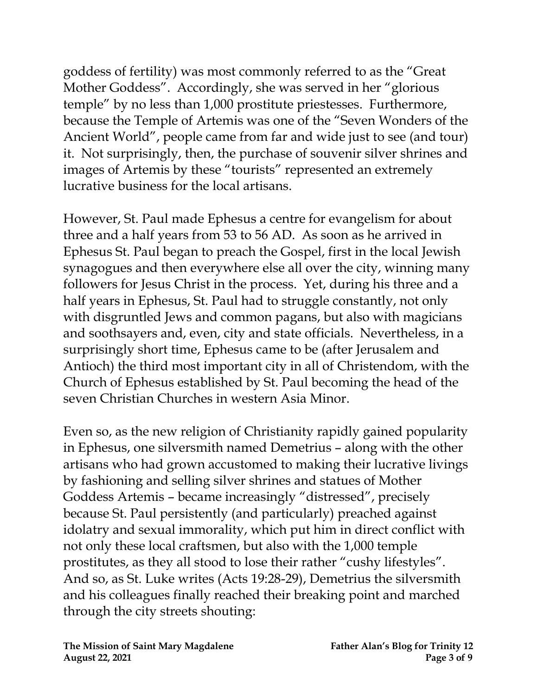goddess of fertility) was most commonly referred to as the "Great Mother Goddess". Accordingly, she was served in her "glorious temple" by no less than 1,000 prostitute priestesses. Furthermore, because the Temple of Artemis was one of the "Seven Wonders of the Ancient World", people came from far and wide just to see (and tour) it. Not surprisingly, then, the purchase of souvenir silver shrines and images of Artemis by these "tourists" represented an extremely lucrative business for the local artisans.

However, St. Paul made Ephesus a centre for evangelism for about three and a half years from 53 to 56 AD. As soon as he arrived in Ephesus St. Paul began to preach the Gospel, first in the local Jewish synagogues and then everywhere else all over the city, winning many followers for Jesus Christ in the process. Yet, during his three and a half years in Ephesus, St. Paul had to struggle constantly, not only with disgruntled Jews and common pagans, but also with magicians and soothsayers and, even, city and state officials. Nevertheless, in a surprisingly short time, Ephesus came to be (after Jerusalem and Antioch) the third most important city in all of Christendom, with the Church of Ephesus established by St. Paul becoming the head of the seven Christian Churches in western Asia Minor.

Even so, as the new religion of Christianity rapidly gained popularity in Ephesus, one silversmith named Demetrius – along with the other artisans who had grown accustomed to making their lucrative livings by fashioning and selling silver shrines and statues of Mother Goddess Artemis – became increasingly "distressed", precisely because St. Paul persistently (and particularly) preached against idolatry and sexual immorality, which put him in direct conflict with not only these local craftsmen, but also with the 1,000 temple prostitutes, as they all stood to lose their rather "cushy lifestyles". And so, as St. Luke writes (Acts 19:28-29), Demetrius the silversmith and his colleagues finally reached their breaking point and marched through the city streets shouting: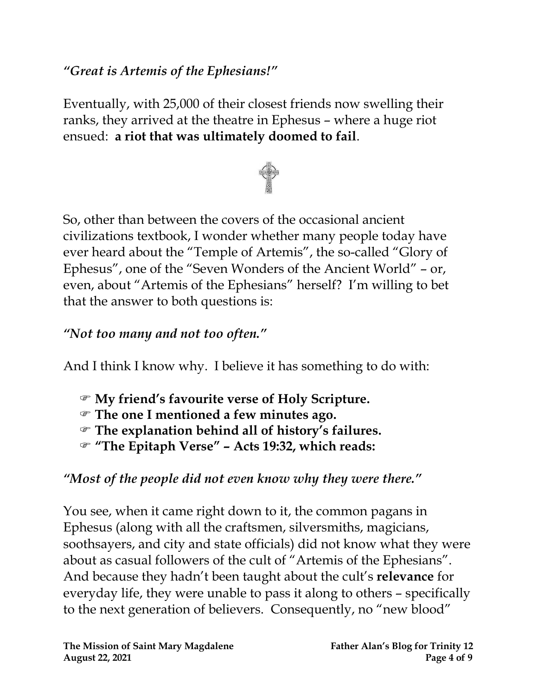#### *"Great is Artemis of the Ephesians!"*

Eventually, with 25,000 of their closest friends now swelling their ranks, they arrived at the theatre in Ephesus – where a huge riot ensued: **a riot that was ultimately doomed to fail**.



So, other than between the covers of the occasional ancient civilizations textbook, I wonder whether many people today have ever heard about the "Temple of Artemis", the so-called "Glory of Ephesus", one of the "Seven Wonders of the Ancient World" – or, even, about "Artemis of the Ephesians" herself?I'm willing to bet that the answer to both questions is:

### *"Not too many and not too often."*

And I think I know why. I believe it has something to do with:

- **My friend's favourite verse of Holy Scripture.**
- **The one I mentioned a few minutes ago.**
- **The explanation behind all of history's failures.**
- **"The Epitaph Verse" – Acts 19:32, which reads:**

# *"Most of the people did not even know why they were there."*

You see, when it came right down to it, the common pagans in Ephesus (along with all the craftsmen, silversmiths, magicians, soothsayers, and city and state officials) did not know what they were about as casual followers of the cult of "Artemis of the Ephesians". And because they hadn't been taught about the cult's **relevance** for everyday life, they were unable to pass it along to others – specifically to the next generation of believers. Consequently, no "new blood"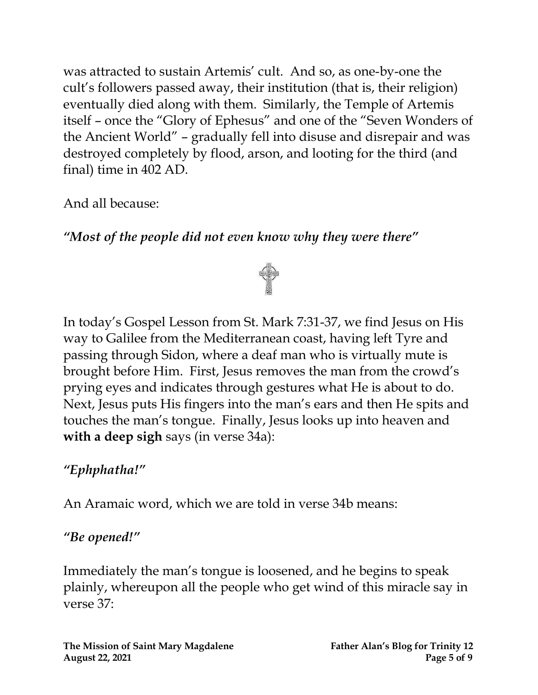was attracted to sustain Artemis' cult. And so, as one-by-one the cult's followers passed away, their institution (that is, their religion) eventually died along with them. Similarly, the Temple of Artemis itself – once the "Glory of Ephesus" and one of the "Seven Wonders of the Ancient World" – gradually fell into disuse and disrepair and was destroyed completely by flood, arson, and looting for the third (and final) time in 402 AD.

And all because:

*"Most of the people did not even know why they were there"*



In today's Gospel Lesson from St. Mark 7:31-37, we find Jesus on His way to Galilee from the Mediterranean coast, having left Tyre and passing through Sidon, where a deaf man who is virtually mute is brought before Him. First, Jesus removes the man from the crowd's prying eyes and indicates through gestures what He is about to do. Next, Jesus puts His fingers into the man's ears and then He spits and touches the man's tongue. Finally, Jesus looks up into heaven and **with a deep sigh** says (in verse 34a):

# *"Ephphatha!"*

An Aramaic word, which we are told in verse 34b means:

#### *"Be opened!"*

Immediately the man's tongue is loosened, and he begins to speak plainly, whereupon all the people who get wind of this miracle say in verse 37: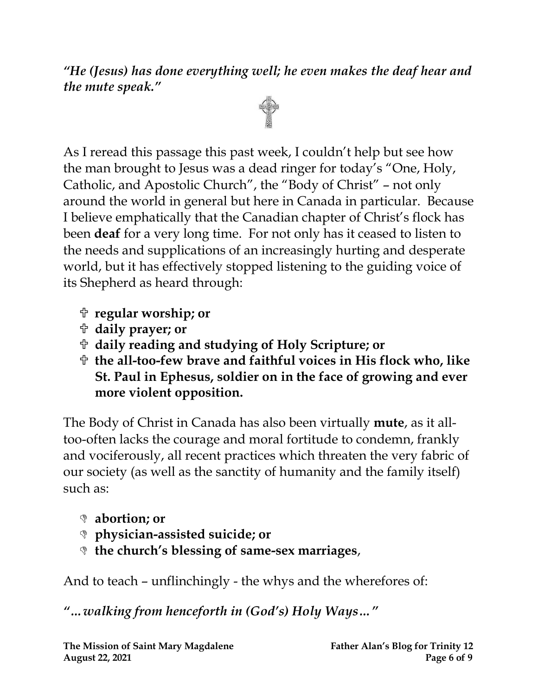*"He (Jesus) has done everything well; he even makes the deaf hear and the mute speak."*



As I reread this passage this past week, I couldn't help but see how the man brought to Jesus was a dead ringer for today's "One, Holy, Catholic, and Apostolic Church", the "Body of Christ" – not only around the world in general but here in Canada in particular. Because I believe emphatically that the Canadian chapter of Christ's flock has been **deaf** for a very long time. For not only has it ceased to listen to the needs and supplications of an increasingly hurting and desperate world, but it has effectively stopped listening to the guiding voice of its Shepherd as heard through:

- **regular worship; or**
- **daily prayer; or**
- **daily reading and studying of Holy Scripture; or**
- **the all-too-few brave and faithful voices in His flock who, like St. Paul in Ephesus, soldier on in the face of growing and ever more violent opposition.**

The Body of Christ in Canada has also been virtually **mute**, as it alltoo-often lacks the courage and moral fortitude to condemn, frankly and vociferously, all recent practices which threaten the very fabric of our society (as well as the sanctity of humanity and the family itself) such as:

- **abortion; or**
- **physician-assisted suicide; or**
- **the church's blessing of same-sex marriages**,

And to teach – unflinchingly - the whys and the wherefores of:

*"…walking from henceforth in (God's) Holy Ways…"*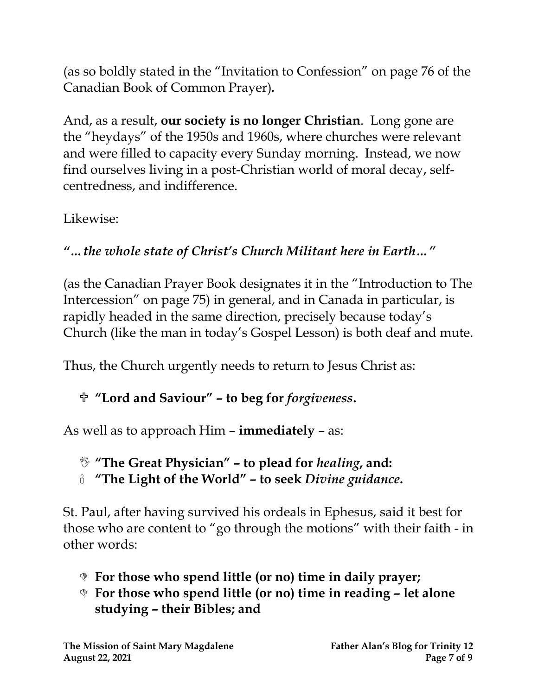(as so boldly stated in the "Invitation to Confession" on page 76 of the Canadian Book of Common Prayer)*.*

And, as a result, **our society is no longer Christian**. Long gone are the "heydays" of the 1950s and 1960s, where churches were relevant and were filled to capacity every Sunday morning. Instead, we now find ourselves living in a post-Christian world of moral decay, selfcentredness, and indifference.

Likewise:

# *"…the whole state of Christ's Church Militant here in Earth…"*

(as the Canadian Prayer Book designates it in the "Introduction to The Intercession" on page 75) in general, and in Canada in particular, is rapidly headed in the same direction, precisely because today's Church (like the man in today's Gospel Lesson) is both deaf and mute.

Thus, the Church urgently needs to return to Jesus Christ as:

# **"Lord and Saviour" – to beg for** *forgiveness***.**

As well as to approach Him – **immediately** – as:

**"The Great Physician" – to plead for** *healing***, and:**

**"The Light of the World" – to seek** *Divine guidance***.**

St. Paul, after having survived his ordeals in Ephesus, said it best for those who are content to "go through the motions" with their faith - in other words:

- **For those who spend little (or no) time in daily prayer;**
- **For those who spend little (or no) time in reading – let alone studying – their Bibles; and**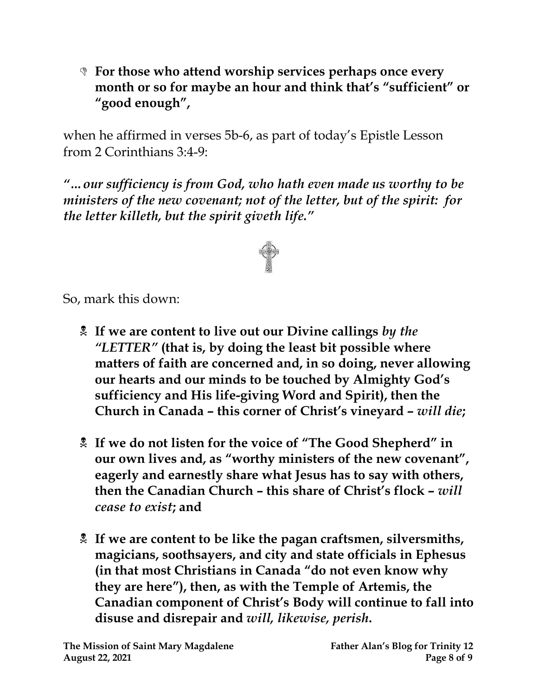**For those who attend worship services perhaps once every month or so for maybe an hour and think that's "sufficient" or "good enough" ,**

when he affirmed in verses 5b-6, as part of today's Epistle Lesson from 2 Corinthians 3:4-9:

*"…our sufficiency is from God, who hath even made us worthy to be ministers of the new covenant; not of the letter, but of the spirit: for the letter killeth, but the spirit giveth life."*



So, mark this down:

- **If we are content to live out our Divine callings** *by the "LETTER"* **(that is, by doing the least bit possible where matters of faith are concerned and, in so doing, never allowing our hearts and our minds to be touched by Almighty God's sufficiency and His life-giving Word and Spirit), then the Church in Canada – this corner of Christ's vineyard –** *will die***;**
- **If we do not listen for the voice of "The Good Shepherd" in our own lives and, as "worthy ministers of the new covenant", eagerly and earnestly share what Jesus has to say with others, then the Canadian Church – this share of Christ's flock –** *will cease to exist***; and**
- **If we are content to be like the pagan craftsmen, silversmiths, magicians, soothsayers, and city and state officials in Ephesus (in that most Christians in Canada "do not even know why they are here"), then, as with the Temple of Artemis, the Canadian component of Christ's Body will continue to fall into disuse and disrepair and** *will, likewise, perish***.**